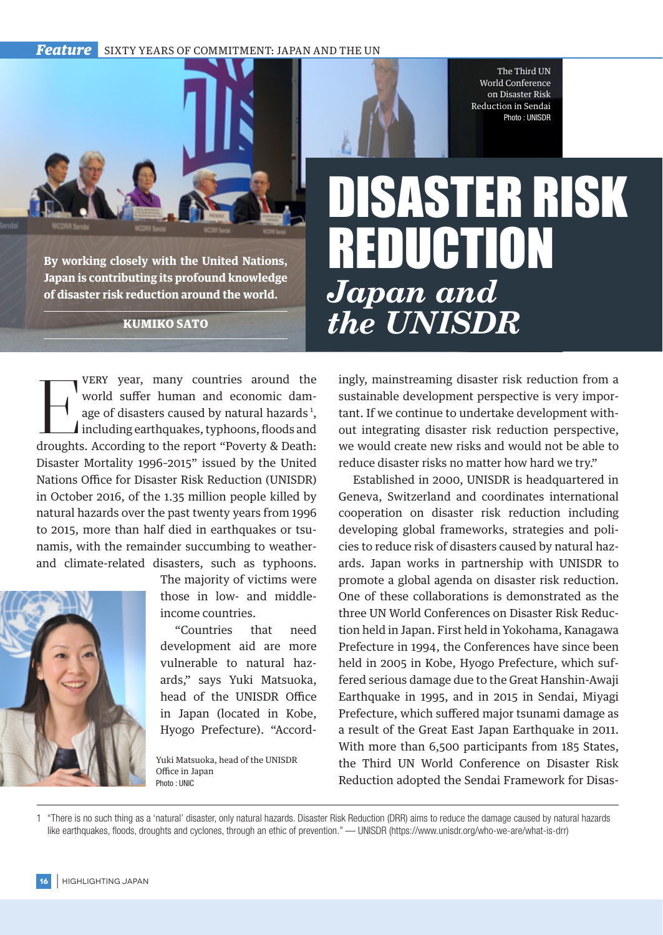*Feature* SIXTY YEARS OF COMMITMENT: JAPAN AND THE UN

The Third UN World Conference on Disaster Risk Reduction in Sendai Photo : UNISDR

## **By working closely with the United Nations, Japan is contributing its profound knowledge of disaster risk reduction around the world.**

KUMIKO SATO

VERY year, many countries around the<br>world suffer human and economic dam-<br>age of disasters caused by natural hazards<sup>1</sup>,<br>including earthquakes, typhoons, floods and<br>droughts. According to the report "Poverty & Death: very year, many countries around the world suffer human and economic damage of disasters caused by natural hazards<sup>1</sup>, including earthquakes, typhoons, floods and Disaster Mortality 1996–2015" issued by the United Nations Office for Disaster Risk Reduction (UNISDR) in October 2016, of the 1.35 million people killed by natural hazards over the past twenty years from 1996 to 2015, more than half died in earthquakes or tsunamis, with the remainder succumbing to weatherand climate-related disasters, such as typhoons.



The majority of victims were those in low- and middleincome countries.

"Countries that need development aid are more vulnerable to natural hazards," says Yuki Matsuoka, head of the UNISDR Office in Japan (located in Kobe, Hyogo Prefecture). "Accord-

Yuki Matsuoka, head of the UNISDR Office in Japan Photo : UNIC

## DISASTER RISK REDUCTION *Japan and the UNISDR*

ingly, mainstreaming disaster risk reduction from a sustainable development perspective is very important. If we continue to undertake development without integrating disaster risk reduction perspective, we would create new risks and would not be able to reduce disaster risks no matter how hard we try."

Established in 2000, UNISDR is headquartered in Geneva, Switzerland and coordinates international cooperation on disaster risk reduction including developing global frameworks, strategies and policies to reduce risk of disasters caused by natural hazards. Japan works in partnership with UNISDR to promote a global agenda on disaster risk reduction. One of these collaborations is demonstrated as the three UN World Conferences on Disaster Risk Reduction held in Japan. First held in Yokohama, Kanagawa Prefecture in 1994, the Conferences have since been held in 2005 in Kobe, Hyogo Prefecture, which suffered serious damage due to the Great Hanshin-Awaji Earthquake in 1995, and in 2015 in Sendai, Miyagi Prefecture, which suffered major tsunami damage as a result of the Great East Japan Earthquake in 2011. With more than 6,500 participants from 185 States, the Third UN World Conference on Disaster Risk Reduction adopted the Sendai Framework for Disas-

1 "There is no such thing as a 'natural' disaster, only natural hazards. Disaster Risk Reduction (DRR) aims to reduce the damage caused by natural hazards like earthquakes, floods, droughts and cyclones, through an ethic of prevention." — UNISDR (https://www.unisdr.org/who-we-are/what-is-drr)